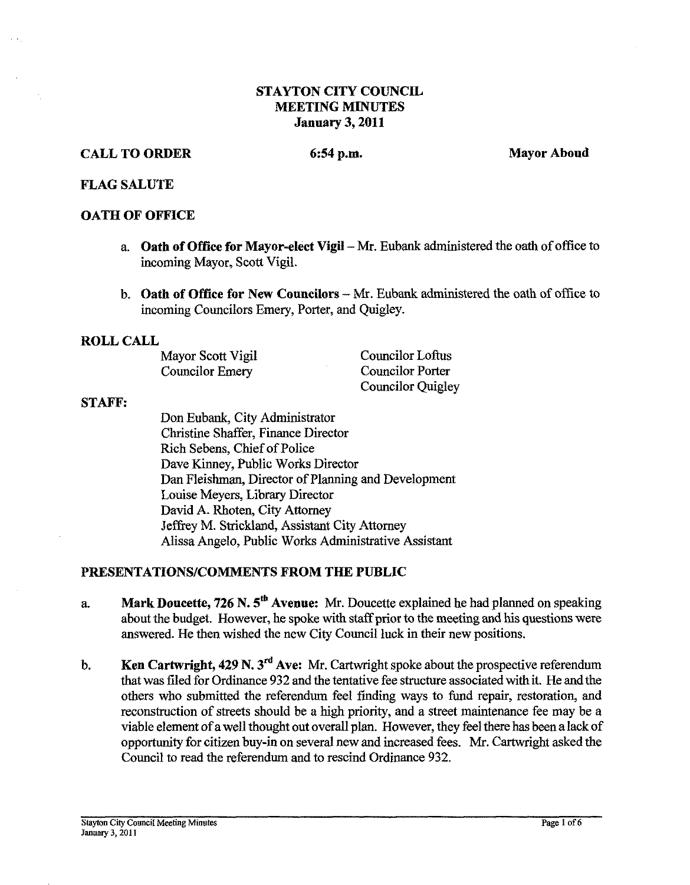## **STAYTON CITY COUNCIL MEETING MINUTES January 3,2011**

## **CALL TO ORDER** 6:54 p.m. 6:54 p.m. Mayor Aboud

#### **FLAG SALUTE**

## **OATH OF OFFICE**

- a. **Oath of Office for Mayor-elect Vigil Mr.** Eubank administered the oath of office to incoming Mayor, Scott Vigil.
- b. **Oath of Office for New Councilors Mr.** Eubank admiistered the oath of office to incoming Councilors Emery, Porter, and Quigley.

#### **ROLL CALL**

Mayor Scott Vigil Councilor Loftus<br>
Councilor Emery Councilor Porter Councilor Emery

Councilor Quigley

#### **STAFF:**

Don Eubank, City Administrator Christine Shaffer, Finance Director Rich Sebens, Chief of Police Dave Kinney, Public Works Director Dan Fleishrnan, Director of Planning and Development Louise Meyers, Library Director David A. Rhoten, City Attorney Jeffrey M. Strickland, Assistant City Attorney Alissa Angelo, Public Works Administrative Assistant

## **PRESENTATIONSICOMMENTS FROM THE PUBLIC**

- a. **Mark Doucette, 726 N. 5tb Avenue: Mr.** Doucette explained he had planned on speaking about the budget. However, he spoke with staff prior to the meeting and his questions were answered. He then wished the new City Council luck in their new positions.
- b. **Ken Cartwright, 429 N. 3<sup>rd</sup> Ave:** Mr. Cartwright spoke about the prospective referendum that was filed for Ordinance 932 and the tentative fee structure associated with it. He and the others who submitted the referendum feel finding ways to fund repair, restoration, and reconstruction of streets should be a high priority, and a street maintenance fee may be a viable element of a well thought out overall plan. However, they feel there has been a lack of opportunity for citizen buy-in on several new and increased fees. Mr. Cartwright asked the Council to read the referendum and to rescind Ordinance 932.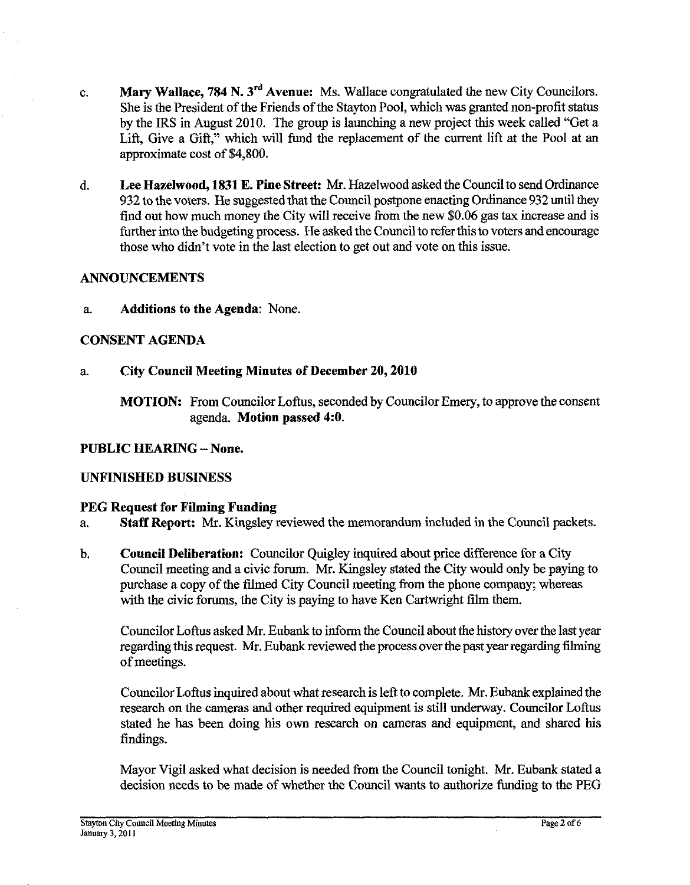- c. **Mary Wallace, 784 N. 3rd Avenue:** Ms. Wallace congratulated the new City Councilors. She is the President of the Friends of the Stayton Pool, which was granted non-profit status by the IRS in August 2010. The group is launching a new project this week called "Get a Lift, Give a Gift," which will fund the replacement of the current lift at the Pool at an approximate cost of \$4,800.
- d. **Lee Hazelwood, 1831 E. Pine Street:** Mr. Hazelwood asked the Council to send Ordinance 932 to the voters. He suggested that the Council postpone enacting Ordinance 932 until they find out how much money the City will receive from the new \$0.06 gas tax increase and is further into the budgeting process. He asked the Council to refer this to voters and encourage those who didn't vote in the last election to get out and vote on this issue.

## **ANNOUNCEMENTS**

a. **Additions to the Agenda:** None.

## **CONSENT AGENDA**

## a. **City Council Meeting Minutes of December 20,2010**

**MOTION:** From Councilor Loftus, seconded by Councilor Emery, to approve the consent agenda. **Motion passed 4:O.** 

## **PUBLIC HEARING** - **None.**

## **UNFINISHED BUSINESS**

#### **PEG Request for Filming Funding**

- a. **Staff Report. Mr.** Kingsley reviewed the memorandum included in the Council packets.
- b. **Council Deliberation:** Councilor Quigley inquired about price difference for a City Council meeting and a civic forum. Mr. Kingsley stated the City would only be paying to purchase a copy of the filmed City Council meeting from the phone company; whereas with the civic forums, the City is paying to have Ken Cartwright film them.

Councilor Loftus asked Mr. Eubank to inform the Council about the history over the last year regarding this request. Mr. Eubank reviewed the process over the past year regarding filming of meetings.

Councilor Loftns inquired about what research is left to complete. Mr. Eubank explained the research on the cameras and other required equipment is still underway. Councilor Loftus stated he has been doing his own research on cameras and equipment, and shared his findings.

Mayor Vigil asked what decision is needed from the Council tonight. Mr. Eubank stated a decision needs to be made of whether the Council wants to authorize funding to the PEG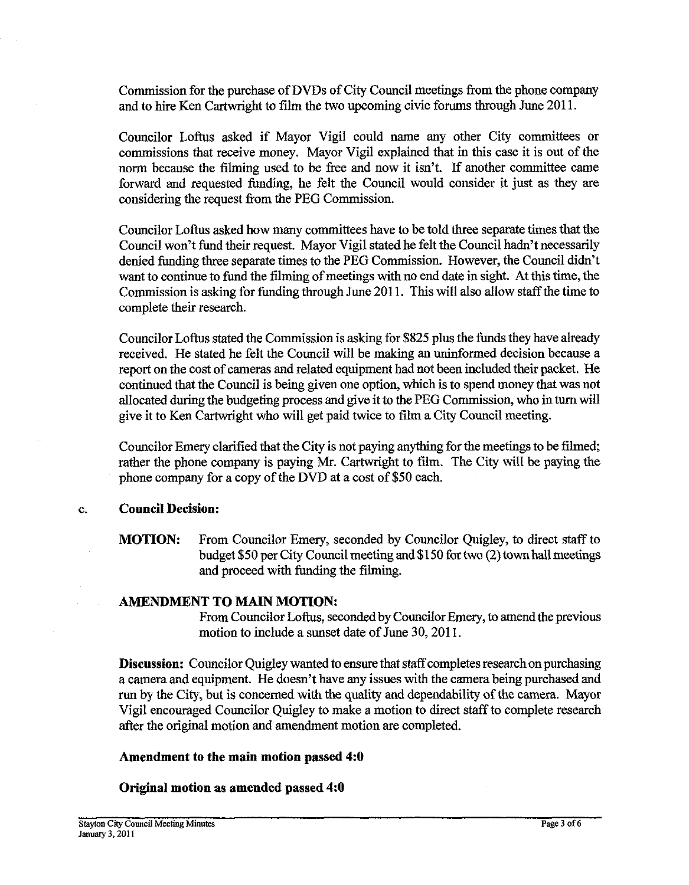Commission for the purchase of DVDs of City Council meetings from the phone company and to hire Ken Cartwright to film the two upcoming civic forums through June  $2011$ .

Councilor Loftus asked if Mayor Vigil could name any other City committees or commissions that receive money. Mayor Vigil explained that in this case it is out of the norm because the filming used to be free and now it isn't. If another committee came forward and requested funding, he felt the Council would consider it just as they are considering the request from the PEG Commission.

Councilor Loftus asked how many committees have to be told three separate times that the Council won't fund their request. Mayor Vigil stated he felt the Council hadn't necessarily denied funding three separate times to the PEG Commission. However, the Council didn't want to continue to fund the filming of meetings with no end **date** in sight. At this time, the Commission is asking for funding through June 2011. This will also allow staff the time to complete their research.

Councilor Loftus stated the Commission is asking for \$825 plus the funds they have already received. He stated he felt the Council will be making an uninformed decision because a report on the cost of cameras and related equipment had not been included their packet. He continued that the Council is being given one option, which is to spend money that was not allocated during the budgeting process and give it to the PEG Commission, who in turn will give it to Ken Cartwright who will get paid twice to film a City Council meeting.

Councilor Emery clarified that the City is not paying anything for the meetings to be filmed; rather the phone company is paying Mr. Cartwright to film. The City will be paying the phone company for a copy of the DVD at a cost of \$50 each.

#### c. **Council Decision:**

**MOTION:** From Councilor Emery, seconded by Councilor Quigley, to direct staff to budget \$50 per City Council meeting and \$1 50 for two (2) town hall meetings and proceed with funding the filming.

## **AMENDMENT TO MAIN MOTION:**

From Councilor Loftus, seconded by Councilor Emery, to amend the previous motion to include a sunset date of June 30, 2011.

**Discussion:** Councilor Quigley wanted to ensure that staff completes research on purchasing a camera and equipment. He doesn't have any issues with the camera being purchased and run by the City, but is concerned with the quality and dependability of the camera. Mayor Vigil encouraged Councilor Quigley to make a motion to direct staff to complete research after the original motion and amendment motion are completed.

## **Amendment to the main motion passed 4:O**

## **Original motion as amended passed 4:O**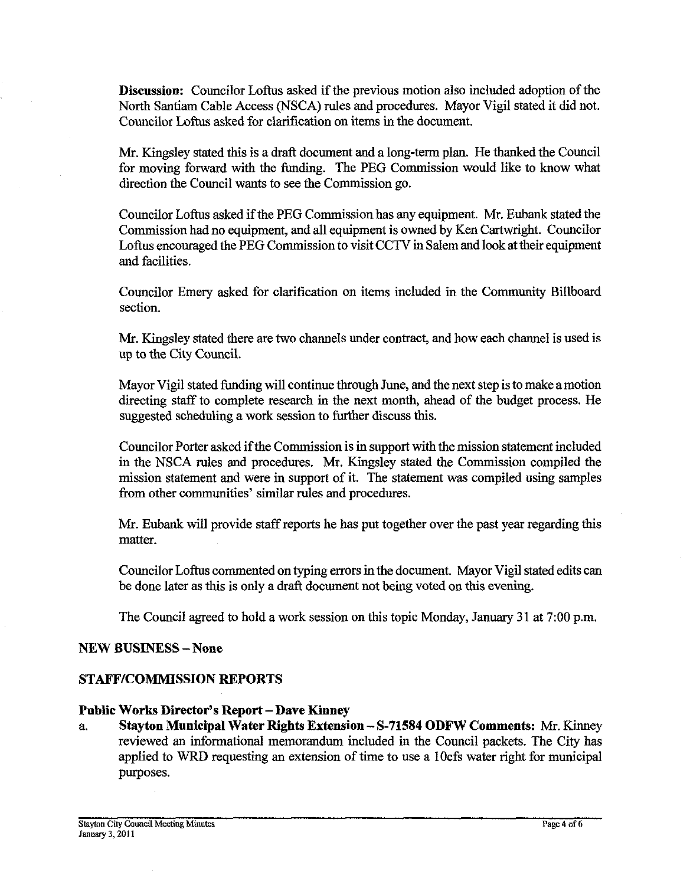**Discussion:** Councilor Loftus asked if the previous motion also included adoption of the North Santiam Cable Access (NSCA) rules and procedures. Mayor Vigil stated it did not. Councilor Loftus asked for clarification on items in the document.

Mr. Kingsley stated this is a draft document and a long-term plan. He thanked the Council for moving forward with the funding. The PEG Commission would like to know what direction the Council wants to see the Commission go.

Councilor Loftus asked if the PEG Commission has any equipment. Mr. Eubank stated the Commission had no equipment, and all equipment is owned by Ken Cartwright. Councilor Loftus encouraged the PEG Commission to visit CCTV in Salem and look at their equipment and facilities.

Councilor Emery asked for clarification on items included in the Community Billboard section.

Mr. Kingsley stated there are two channels under contract, and how each channel is used is up to the City Council.

Mayor Vigil stated funding will continue through June, and the next step is to make amotion directing staff to complete research in the next month, ahead of the budget process. He suggested scheduling a work session to further discuss this.

Councilor Porter asked if the Commission is in support with the mission statement included in the NSCA rules and procedures. Mr. Kingsley stated the Commission compiled the mission statement and were in support of it. The statement was compiled using samples from other communities' similar rules and procedures.

Mr. Eubank will provide staff reports he has put together over the past year regarding this matter.

Councilor Loftus commented on typing errors in the document. Mayor Vigil stated edits can be done later as this is only a draft document not being voted on this evening.

The Council agreed to hold a work session on this topic Monday, January 31 at 7:00 p.m.

## **NEW BUSINESS -None**

## **STAFFICOMMISSION REPORTS**

## **Public Works Director's Report** - **Dave Kinney**

a. **Stayton Municipal Water Rights Extension** - **S-71584 ODFW Comments: Mr.** Kinney reviewed **an** informational memorandum included in the Council packets. The City has applied to WRD requesting an extension of time to use a lOcfs water right for municipal purposes.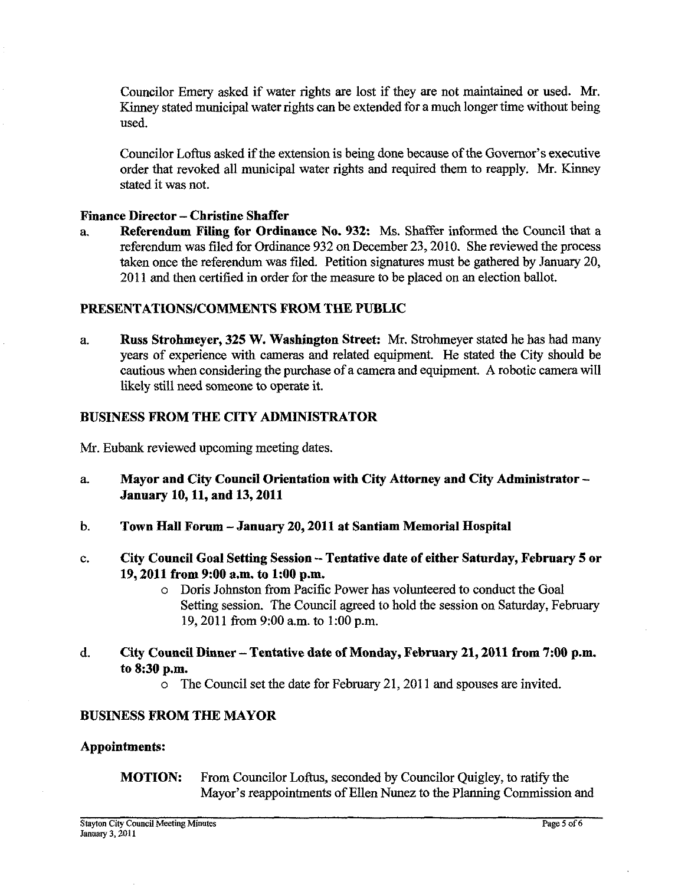Councilor Emery asked if water rights are lost if they are not maintained or used. Mr. Kinney stated municipal water rights can be extended for a much longer time without being used.

Councilor Loftus asked if the extension is being done because of the Governor's executive order that revoked all municipal water rights and required them to reapply. Mr. Kinney stated it was not.

# Finance Director - Christine Shaffer<br>a. Referendum Filing for Ordin

Referendum Filing for Ordinance No. 932: Ms. Shaffer informed the Council that a referendum was filed for Ordinance 932 on December 23,2010. She reviewed the process taken once the referendum was filed. Petition signatures must be gathered by **January** 20, 2011 and then certified in order for the measure to be placed on an election ballot.

#### PRESENTATIONSICOMMENTS FROM THE PUBLIC

a. Russ Strohmeyer, 325 W. Washington Street: Mr. Strohmeyer stated he has had many years of experience with cameras and related equipment. He stated the City should be cautious when considering the purchase of a camera and equipment. **A** robotic camera will likely still need someone to operate it.

#### BUSINESS FROM THE CITY ADMINISTRATOR

Mr. Eubank reviewed upcoming meeting dates.

- a. Mayor and City Council Orientation with City Attorney and City Administrator January 10,11, and 13,2011
- b. Town Hall Forum -January 20,2011 at Santiam Memorial Hospital
- c. City Council Goal Setting Session Tentative date of either Saturday, February 5 or 19,2011 from 9:00 a.m. to 1:00 p.m.
	- o Doris Johnston from Pacific Power has volunteered to conduct the Goal Setting session. The Council agreed to hold the session on Saturday, February 19, 2011 from 9:00 a.m. to 1:00 p.m.
- d. City Council Dinner Tentative date of Monday, February 21,2011 from 7:00 p.m. to 8:30 p.m.
	- o The Council set the date for February 21,201 1 and spouses are invited.

#### BUSINESS FROM THE MAYOR

#### Appointments:

## MOTION: From Councilor Loftus, seconded by Councilor Quigley, to ratify the Mayor's reappointments of Ellen Nunez to the Planning Commission and